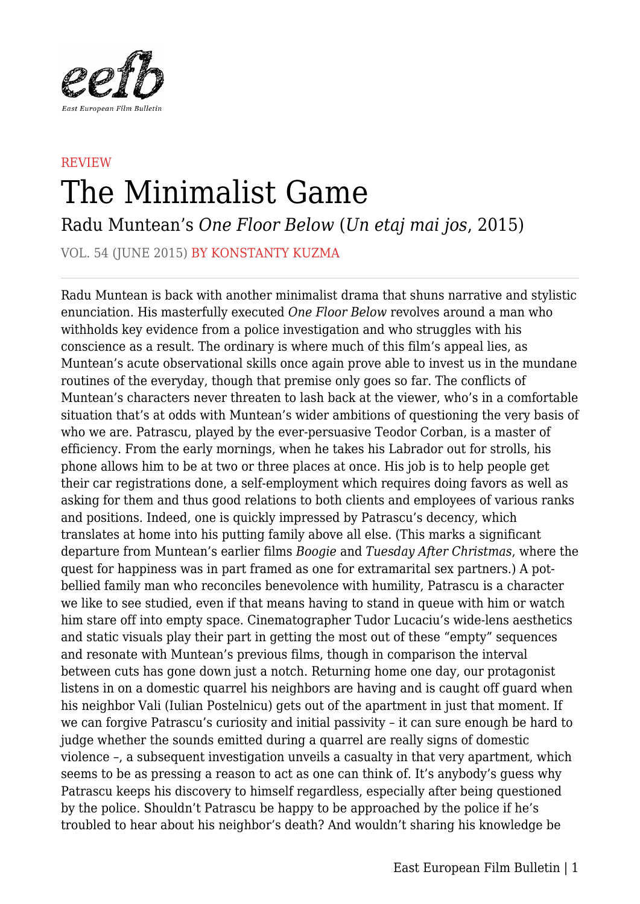

## **REVIEW** The Minimalist Game

Radu Muntean's *One Floor Below* (*Un etaj mai jos*, 2015)

VOL. 54 (JUNE 2015) BY KONSTANTY KUZMA

Radu Muntean is back with another minimalist drama that shuns narrative and stylistic enunciation. His masterfully executed *One Floor Below* revolves around a man who withholds key evidence from a police investigation and who struggles with his conscience as a result. The ordinary is where much of this film's appeal lies, as Muntean's acute observational skills once again prove able to invest us in the mundane routines of the everyday, though that premise only goes so far. The conflicts of Muntean's characters never threaten to lash back at the viewer, who's in a comfortable situation that's at odds with Muntean's wider ambitions of questioning the very basis of who we are. Patrascu, played by the ever-persuasive Teodor Corban, is a master of efficiency. From the early mornings, when he takes his Labrador out for strolls, his phone allows him to be at two or three places at once. His job is to help people get their car registrations done, a self-employment which requires doing favors as well as asking for them and thus good relations to both clients and employees of various ranks and positions. Indeed, one is quickly impressed by Patrascu's decency, which translates at home into his putting family above all else. (This marks a significant departure from Muntean's earlier films *Boogie* and *Tuesday After Christmas*, where the quest for happiness was in part framed as one for extramarital sex partners.) A potbellied family man who reconciles benevolence with humility, Patrascu is a character we like to see studied, even if that means having to stand in queue with him or watch him stare off into empty space. Cinematographer Tudor Lucaciu's wide-lens aesthetics and static visuals play their part in getting the most out of these "empty" sequences and resonate with Muntean's previous films, though in comparison the interval between cuts has gone down just a notch. Returning home one day, our protagonist listens in on a domestic quarrel his neighbors are having and is caught off guard when his neighbor Vali (Iulian Postelnicu) gets out of the apartment in just that moment. If we can forgive Patrascu's curiosity and initial passivity – it can sure enough be hard to judge whether the sounds emitted during a quarrel are really signs of domestic violence –, a subsequent investigation unveils a casualty in that very apartment, which seems to be as pressing a reason to act as one can think of. It's anybody's guess why Patrascu keeps his discovery to himself regardless, especially after being questioned by the police. Shouldn't Patrascu be happy to be approached by the police if he's troubled to hear about his neighbor's death? And wouldn't sharing his knowledge be